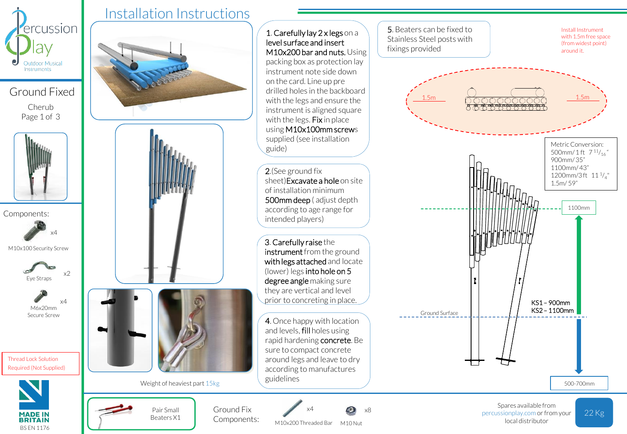

Ground Fixed Cherub Page 1 of 3



Components:

M10x100 Security Screw



x4



Thread Lock Solution Required (Not Supplied)



## Installation Instructions





M10x200 Threaded Bar M10 Nut local distributor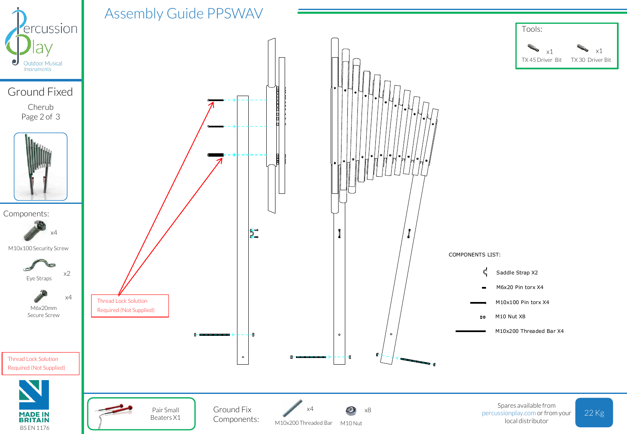